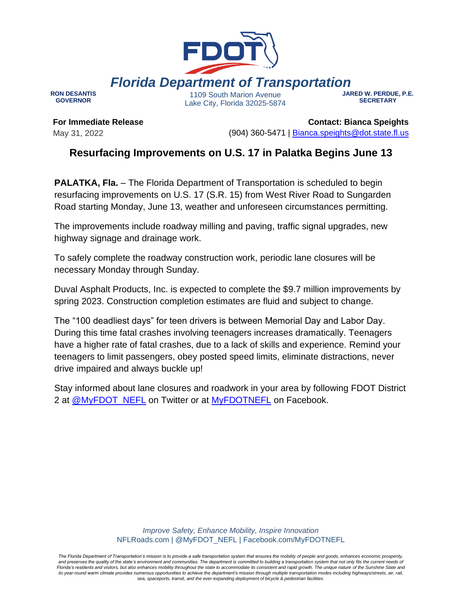

**RON DESANTIS GOVERNOR**

1109 South Marion Avenue Lake City, Florida 32025-5874 **JARED W. PERDUE, P.E. SECRETARY**

**For Immediate Release** May 31, 2022

**Contact: Bianca Speights** (904) 360-5471 | [Bianca.speights@dot.state.fl.us](mailto:Your.Name@dot.state.fl.us)

## **Resurfacing Improvements on U.S. 17 in Palatka Begins June 13**

**PALATKA, Fla.** – The Florida Department of Transportation is scheduled to begin resurfacing improvements on U.S. 17 (S.R. 15) from West River Road to Sungarden Road starting Monday, June 13, weather and unforeseen circumstances permitting.

The improvements include roadway milling and paving, traffic signal upgrades, new highway signage and drainage work.

To safely complete the roadway construction work, periodic lane closures will be necessary Monday through Sunday.

Duval Asphalt Products, Inc. is expected to complete the \$9.7 million improvements by spring 2023. Construction completion estimates are fluid and subject to change.

The "100 deadliest days" for teen drivers is between Memorial Day and Labor Day. During this time fatal crashes involving teenagers increases dramatically. Teenagers have a higher rate of fatal crashes, due to a lack of skills and experience. Remind your teenagers to limit passengers, obey posted speed limits, eliminate distractions, never drive impaired and always buckle up!

Stay informed about lane closures and roadwork in your area by following FDOT District 2 at [@MyFDOT\\_NEFL](https://urldefense.com/v3/__https:/twitter.com/MyFDOT_NEFL__;!!OepYZ6Q!qXWYZs_iVhh309MiFFiz_5d0yI2uRh1R5hmud7be_C2u2vl7Ch9aViWsFAv7pY3DsezuSAc$) on Twitter or at [MyFDOTNEFL](https://urldefense.com/v3/__https:/www.facebook.com/MyFDOTNEFL__;!!OepYZ6Q!qXWYZs_iVhh309MiFFiz_5d0yI2uRh1R5hmud7be_C2u2vl7Ch9aViWsFAv7pY3DQV0Ik7Q$) on Facebook.

> *Improve Safety, Enhance Mobility, Inspire Innovation* NFLRoads.com | @MyFDOT\_NEFL | Facebook.com/MyFDOTNEFL

*The Florida Department of Transportation's mission is to provide a safe transportation system that ensures the mobility of people and goods, enhances economic prosperity,*  and preserves the quality of the state's environment and communities. The department is committed to building a transportation system that not only fits the current needs of *Florida's residents and visitors, but also enhances mobility throughout the state to accommodate its consistent and rapid growth. The unique nature of the Sunshine State and*  its year-round warm climate provides numerous opportunities to achieve the department's mission through multiple transportation modes including highways/streets, air, rail, *sea, spaceports, transit, and the ever-expanding deployment of bicycle & pedestrian facilities.*